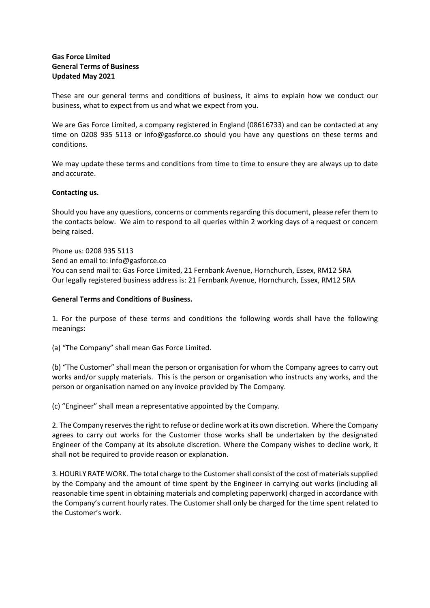## Gas Force Limited General Terms of Business Updated May 2021

These are our general terms and conditions of business, it aims to explain how we conduct our business, what to expect from us and what we expect from you.

We are Gas Force Limited, a company registered in England (08616733) and can be contacted at any time on 0208 935 5113 or info@gasforce.co should you have any questions on these terms and conditions.

We may update these terms and conditions from time to time to ensure they are always up to date and accurate.

## Contacting us.

Should you have any questions, concerns or comments regarding this document, please refer them to the contacts below. We aim to respond to all queries within 2 working days of a request or concern being raised.

Phone us: 0208 935 5113 Send an email to: info@gasforce.co You can send mail to: Gas Force Limited, 21 Fernbank Avenue, Hornchurch, Essex, RM12 5RA Our legally registered business address is: 21 Fernbank Avenue, Hornchurch, Essex, RM12 5RA

## General Terms and Conditions of Business.

1. For the purpose of these terms and conditions the following words shall have the following meanings:

(a) "The Company" shall mean Gas Force Limited.

(b) "The Customer" shall mean the person or organisation for whom the Company agrees to carry out works and/or supply materials. This is the person or organisation who instructs any works, and the person or organisation named on any invoice provided by The Company.

(c) "Engineer" shall mean a representative appointed by the Company.

2. The Company reserves the right to refuse or decline work at its own discretion. Where the Company agrees to carry out works for the Customer those works shall be undertaken by the designated Engineer of the Company at its absolute discretion. Where the Company wishes to decline work, it shall not be required to provide reason or explanation.

3. HOURLY RATE WORK. The total charge to the Customer shall consist of the cost of materials supplied by the Company and the amount of time spent by the Engineer in carrying out works (including all reasonable time spent in obtaining materials and completing paperwork) charged in accordance with the Company's current hourly rates. The Customer shall only be charged for the time spent related to the Customer's work.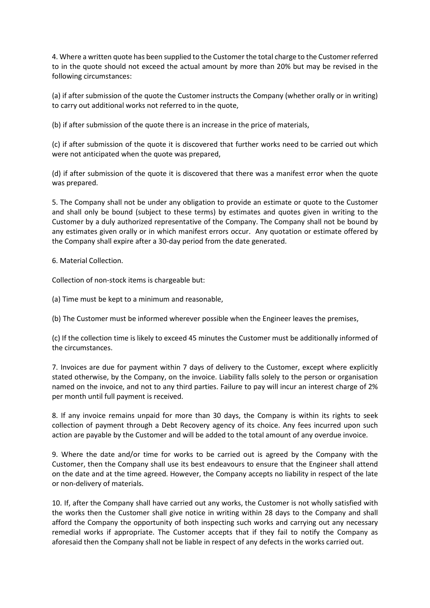4. Where a written quote has been supplied to the Customer the total charge to the Customer referred to in the quote should not exceed the actual amount by more than 20% but may be revised in the following circumstances:

(a) if after submission of the quote the Customer instructs the Company (whether orally or in writing) to carry out additional works not referred to in the quote,

(b) if after submission of the quote there is an increase in the price of materials,

(c) if after submission of the quote it is discovered that further works need to be carried out which were not anticipated when the quote was prepared,

(d) if after submission of the quote it is discovered that there was a manifest error when the quote was prepared.

5. The Company shall not be under any obligation to provide an estimate or quote to the Customer and shall only be bound (subject to these terms) by estimates and quotes given in writing to the Customer by a duly authorized representative of the Company. The Company shall not be bound by any estimates given orally or in which manifest errors occur. Any quotation or estimate offered by the Company shall expire after a 30-day period from the date generated.

6. Material Collection.

Collection of non-stock items is chargeable but:

(a) Time must be kept to a minimum and reasonable,

(b) The Customer must be informed wherever possible when the Engineer leaves the premises,

(c) If the collection time is likely to exceed 45 minutes the Customer must be additionally informed of the circumstances.

7. Invoices are due for payment within 7 days of delivery to the Customer, except where explicitly stated otherwise, by the Company, on the invoice. Liability falls solely to the person or organisation named on the invoice, and not to any third parties. Failure to pay will incur an interest charge of 2% per month until full payment is received.

8. If any invoice remains unpaid for more than 30 days, the Company is within its rights to seek collection of payment through a Debt Recovery agency of its choice. Any fees incurred upon such action are payable by the Customer and will be added to the total amount of any overdue invoice.

9. Where the date and/or time for works to be carried out is agreed by the Company with the Customer, then the Company shall use its best endeavours to ensure that the Engineer shall attend on the date and at the time agreed. However, the Company accepts no liability in respect of the late or non-delivery of materials.

10. If, after the Company shall have carried out any works, the Customer is not wholly satisfied with the works then the Customer shall give notice in writing within 28 days to the Company and shall afford the Company the opportunity of both inspecting such works and carrying out any necessary remedial works if appropriate. The Customer accepts that if they fail to notify the Company as aforesaid then the Company shall not be liable in respect of any defects in the works carried out.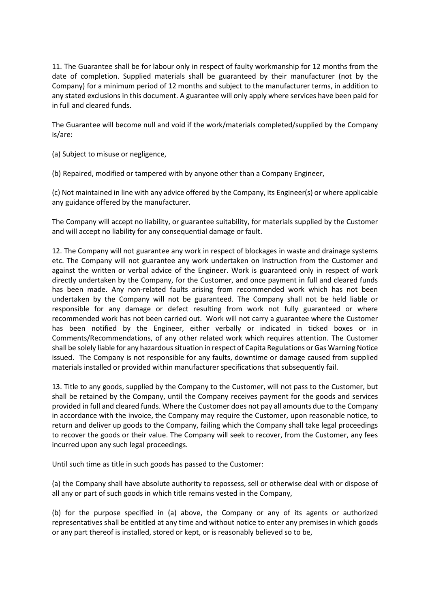11. The Guarantee shall be for labour only in respect of faulty workmanship for 12 months from the date of completion. Supplied materials shall be guaranteed by their manufacturer (not by the Company) for a minimum period of 12 months and subject to the manufacturer terms, in addition to any stated exclusions in this document. A guarantee will only apply where services have been paid for in full and cleared funds.

The Guarantee will become null and void if the work/materials completed/supplied by the Company is/are:

(a) Subject to misuse or negligence,

(b) Repaired, modified or tampered with by anyone other than a Company Engineer,

(c) Not maintained in line with any advice offered by the Company, its Engineer(s) or where applicable any guidance offered by the manufacturer.

The Company will accept no liability, or guarantee suitability, for materials supplied by the Customer and will accept no liability for any consequential damage or fault.

12. The Company will not guarantee any work in respect of blockages in waste and drainage systems etc. The Company will not guarantee any work undertaken on instruction from the Customer and against the written or verbal advice of the Engineer. Work is guaranteed only in respect of work directly undertaken by the Company, for the Customer, and once payment in full and cleared funds has been made. Any non-related faults arising from recommended work which has not been undertaken by the Company will not be guaranteed. The Company shall not be held liable or responsible for any damage or defect resulting from work not fully guaranteed or where recommended work has not been carried out. Work will not carry a guarantee where the Customer has been notified by the Engineer, either verbally or indicated in ticked boxes or in Comments/Recommendations, of any other related work which requires attention. The Customer shall be solely liable for any hazardous situation in respect of Capita Regulations or Gas Warning Notice issued. The Company is not responsible for any faults, downtime or damage caused from supplied materials installed or provided within manufacturer specifications that subsequently fail.

13. Title to any goods, supplied by the Company to the Customer, will not pass to the Customer, but shall be retained by the Company, until the Company receives payment for the goods and services provided in full and cleared funds. Where the Customer does not pay all amounts due to the Company in accordance with the invoice, the Company may require the Customer, upon reasonable notice, to return and deliver up goods to the Company, failing which the Company shall take legal proceedings to recover the goods or their value. The Company will seek to recover, from the Customer, any fees incurred upon any such legal proceedings.

Until such time as title in such goods has passed to the Customer:

(a) the Company shall have absolute authority to repossess, sell or otherwise deal with or dispose of all any or part of such goods in which title remains vested in the Company,

(b) for the purpose specified in (a) above, the Company or any of its agents or authorized representatives shall be entitled at any time and without notice to enter any premises in which goods or any part thereof is installed, stored or kept, or is reasonably believed so to be,